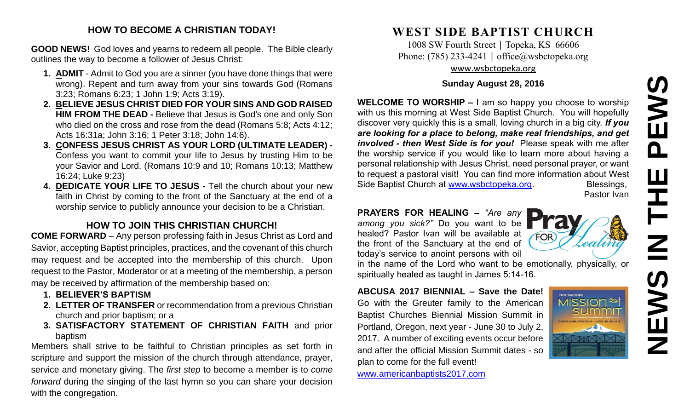# **NEWS IN THE PEWS**EWS  $\mathbf{\Omega}$ Ш エト<br>N

# **HOW TO BECOME A CHRISTIAN TODAY!**

**GOOD NEWS!** God loves and yearns to redeem all people. The Bible clearly outlines the way to become a follower of Jesus Christ:

- **1. ADMIT** Admit to God you are a sinner (you have done things that were wrong). Repent and turn away from your sins towards God (Romans 3:23; Romans 6:23; 1 John 1:9; Acts 3:19).
- **2. BELIEVE JESUS CHRIST DIED FOR YOUR SINS AND GOD RAISED HIM FROM THE DEAD -** Believe that Jesus is God's one and only Son who died on the cross and rose from the dead (Romans 5:8; Acts 4:12; Acts 16:31a; John 3:16; 1 Peter 3:18; John 14:6).
- **3. CONFESS JESUS CHRIST AS YOUR LORD (ULTIMATE LEADER) -** Confess you want to commit your life to Jesus by trusting Him to be your Savior and Lord. (Romans 10:9 and 10; Romans 10:13; Matthew 16:24; Luke 9:23)
- **4. DEDICATE YOUR LIFE TO JESUS -** Tell the church about your new faith in Christ by coming to the front of the Sanctuary at the end of a worship service to publicly announce your decision to be a Christian.

# **HOW TO JOIN THIS CHRISTIAN CHURCH!**

**COME FORWARD** – Any person professing faith in Jesus Christ as Lord and Savior, accepting Baptist principles, practices, and the covenant of this church may request and be accepted into the membership of this church. Upon request to the Pastor, Moderator or at a meeting of the membership, a person may be received by affirmation of the membership based on:

- **1. BELIEVER'S BAPTISM**
- **2. LETTER OF TRANSFER** or recommendation from a previous Christian church and prior baptism; or a
- **3. SATISFACTORY STATEMENT OF CHRISTIAN FAITH** and prior baptism

Members shall strive to be faithful to Christian principles as set forth in scripture and support the mission of the church through attendance, prayer, service and monetary giving. The *first step* to become a member is to *come forward* during the singing of the last hymn so you can share your decision with the congregation.

# **WEST SIDE BAPTIST CHURCH**

1008 SW Fourth Street | Topeka, KS 66606 Phone: (785) 233-4241 │ [office@wsbctopeka.org](mailto:office@wsbctopeka.org) [www.wsbctopeka.org](http://www.wsbctopeka.org/)

#### **Sunday August 28, 2016**

**WELCOME TO WORSHIP –** I am so happy you choose to worship with us this morning at West Side Baptist Church. You will hopefully discover very quickly this is a small, loving church in a big city. *If you are looking for a place to belong, make real friendships, and get involved - then West Side is for you!* Please speak with me after the worship service if you would like to learn more about having a personal relationship with Jesus Christ, need personal prayer, or want to request a pastoral visit! You can find more information about West Side Baptist Church at [www.wsbctopeka.org.](http://www.wsbctopeka.org/) Blessings,

Pastor Ivan

## **PRAYERS FOR HEALING –** *"Are any among you sick?"* Do you want to be

healed? Pastor Ivan will be available at the front of the Sanctuary at the end of today's service to anoint persons with oil

in the name of the Lord who want to be emotionally, physically, or spiritually healed as taught in James 5:14-16.

# **ABCUSA 2017 BIENNIAL – Save the Date!** Go with the Greuter family to the American

Baptist Churches Biennial Mission Summit in Portland, Oregon, next year - June 30 to July 2, 2017. A number of exciting events occur before and after the official Mission Summit dates - so plan to come for the full event!

[www.americanbaptists2017.com](http://www.americanbaptists2017.com/)



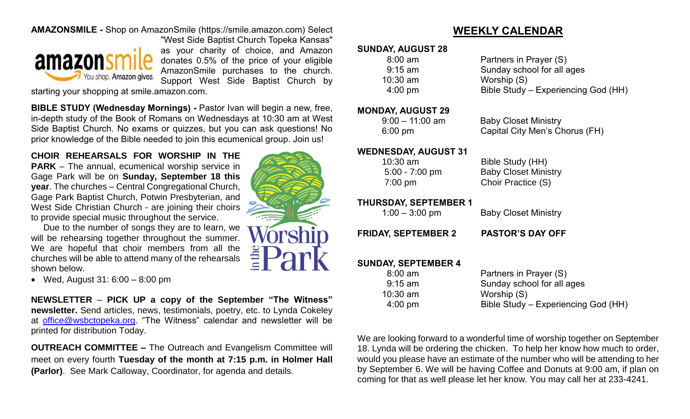# **AMAZONSMILE -** Shop on AmazonSmile (https://smile.amazon.com) Select



"West Side Baptist Church Topeka Kansas" as your charity of choice, and Amazon donates 0.5% of the price of your eligible AmazonSmile purchases to the church. Support West Side Baptist Church by

starting your shopping at smile.amazon.com.

**BIBLE STUDY (Wednesday Mornings) -** Pastor Ivan will begin a new, free, in-depth study of the Book of Romans on Wednesdays at 10:30 am at West Side Baptist Church. No exams or quizzes, but you can ask questions! No prior knowledge of the Bible needed to join this ecumenical group. Join us!

**CHOIR REHEARSALS FOR WORSHIP IN THE PARK** – The annual, ecumenical worship service in Gage Park will be on **Sunday, September 18 this year**. The churches – Central Congregational Church, Gage Park Baptist Church, Potwin Presbyterian, and West Side Christian Church - are joining their choirs to provide special music throughout the service.

Due to the number of songs they are to learn, we will be rehearsing together throughout the summer. We are hopeful that choir members from all the churches will be able to attend many of the rehearsals shown below.

 $\bullet$  Wed, August 31: 6:00 – 8:00 pm

**NEWSLETTER** – **PICK UP a copy of the September "The Witness" newsletter.** Send articles, news, testimonials, poetry, etc. to Lynda Cokeley at [office@wsbctopeka.org.](mailto:office@wsbctopeka.org) "The Witness" calendar and newsletter will be printed for distribution Today.

**OUTREACH COMMITTEE –** The Outreach and Evangelism Committee will meet on every fourth **Tuesday of the month at 7:15 p.m. in Holmer Hall (Parlor)**. See Mark Calloway, Coordinator, for agenda and details.



# **WEEKLY CALENDAR**

#### **SUNDAY, AUGUST 28**

| $8:00 \text{ am}$ | Partners in Prayer (S)              |
|-------------------|-------------------------------------|
| $9:15$ am         | Sunday school for all ages          |
| $10:30$ am        | Worship (S)                         |
| $4:00 \text{ pm}$ | Bible Study – Experiencing God (HH) |

#### **MONDAY, AUGUST 29**

9:00 – 11:00 am Baby Closet Ministry 6:00 pm Capital City Men's Chorus (FH)

#### **WEDNESDAY, AUGUST 31**

 10:30 am Bible Study (HH) 5:00 - 7:00 pm Baby Closet Ministry 7:00 pm Choir Practice (S)

## **THURSDAY, SEPTEMBER 1**

1:00 – 3:00 pm Baby Closet Ministry

**FRIDAY, SEPTEMBER 2 PASTOR'S DAY OFF**

# **SUNDAY, SEPTEMBER 4**

| $8:00$ am         | Partners in Prayer (S)              |
|-------------------|-------------------------------------|
| $9:15$ am         | Sunday school for all ages          |
| $10:30$ am        | Worship (S)                         |
| $4:00 \text{ pm}$ | Bible Study – Experiencing God (HH) |
|                   |                                     |

We are looking forward to a wonderful time of worship together on September 18. Lynda will be ordering the chicken. To help her know how much to order, would you please have an estimate of the number who will be attending to her by September 6. We will be having Coffee and Donuts at 9:00 am, if plan on coming for that as well please let her know. You may call her at 233-4241.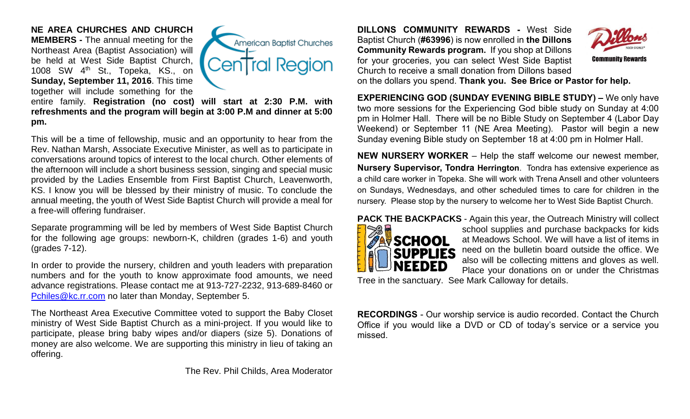**NE AREA CHURCHES AND CHURCH MEMBERS -** The annual meeting for the Northeast Area (Baptist Association) will be held at West Side Baptist Church, 1008 SW 4<sup>th</sup> St., Topeka, KS., on **Sunday, September 11, 2016**. This time together will include something for the



entire family. **Registration (no cost) will start at 2:30 P.M. with refreshments and the program will begin at 3:00 P.M and dinner at 5:00 pm.** 

This will be a time of fellowship, music and an opportunity to hear from the Rev. Nathan Marsh, Associate Executive Minister, as well as to participate in conversations around topics of interest to the local church. Other elements of the afternoon will include a short business session, singing and special music provided by the Ladies Ensemble from First Baptist Church, Leavenworth, KS. I know you will be blessed by their ministry of music. To conclude the annual meeting, the youth of West Side Baptist Church will provide a meal for a free-will offering fundraiser.

Separate programming will be led by members of West Side Baptist Church for the following age groups: newborn-K, children (grades 1-6) and youth (grades 7-12).

In order to provide the nursery, children and youth leaders with preparation numbers and for the youth to know approximate food amounts, we need advance registrations. Please contact me at 913-727-2232, 913-689-8460 or [Pchiles@kc.rr.com](mailto:Pchiles@kc.rr.com) no later than Monday, September 5.

The Northeast Area Executive Committee voted to support the Baby Closet ministry of West Side Baptist Church as a mini-project. If you would like to participate, please bring baby wipes and/or diapers (size 5). Donations of money are also welcome. We are supporting this ministry in lieu of taking an offering.

The Rev. Phil Childs, Area Moderator

**DILLONS COMMUNITY REWARDS -** West Side Baptist Church (**#63996**) is now enrolled in **the Dillons Community Rewards program.** If you shop at Dillons for your groceries, you can select West Side Baptist Church to receive a small donation from Dillons based



on the dollars you spend. **Thank you. See Brice or Pastor for help.**

**EXPERIENCING GOD (SUNDAY EVENING BIBLE STUDY) –** We only have two more sessions for the Experiencing God bible study on Sunday at 4:00 pm in Holmer Hall. There will be no Bible Study on September 4 (Labor Day Weekend) or September 11 (NE Area Meeting). Pastor will begin a new Sunday evening Bible study on September 18 at 4:00 pm in Holmer Hall.

**NEW NURSERY WORKER** – Help the staff welcome our newest member, **Nursery Supervisor, Tondra Herrington**. Tondra has extensive experience as a child care worker in Topeka. She will work with Trena Ansell and other volunteers on Sundays, Wednesdays, and other scheduled times to care for children in the nursery. Please stop by the nursery to welcome her to West Side Baptist Church.



**PACK THE BACKPACKS** - Again this year, the Outreach Ministry will collect school supplies and purchase backpacks for kids at Meadows School. We will have a list of items in need on the bulletin board outside the office. We also will be collecting mittens and gloves as well. Place your donations on or under the Christmas

Tree in the sanctuary. See Mark Calloway for details.

**RECORDINGS** - Our worship service is audio recorded. Contact the Church Office if you would like a DVD or CD of today's service or a service you missed.